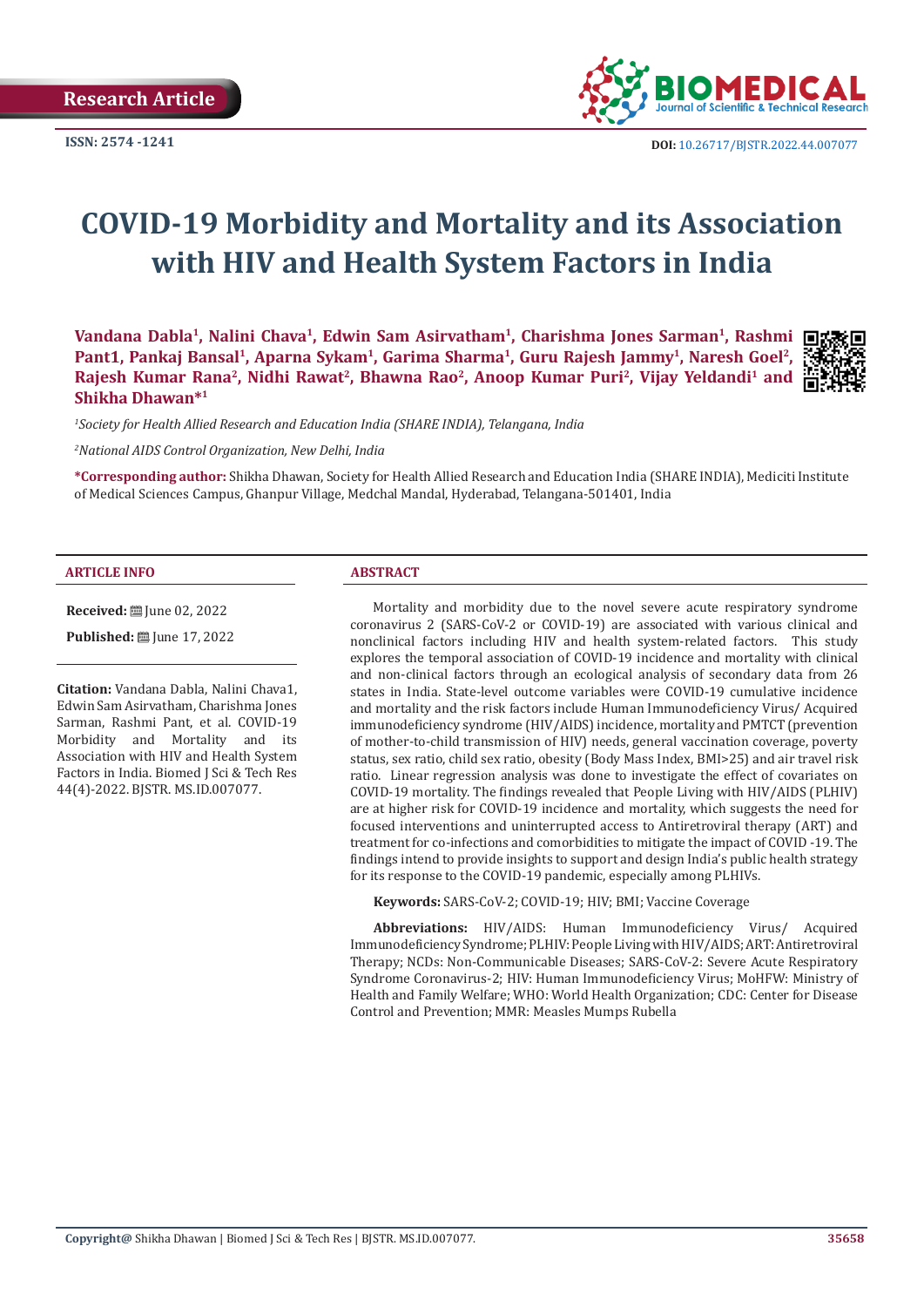

# **COVID-19 Morbidity and Mortality and its Association with HIV and Health System Factors in India**

Vandana Dabla<sup>1</sup>, Nalini Chava<sup>1</sup>, Edwin Sam Asirvatham<sup>1</sup>, Charishma Jones Sarman<sup>1</sup>, Rashmi □: Pant1, Pankaj Bansal<sup>1</sup>, Aparna Sykam<sup>1</sup>, Garima Sharma<sup>1</sup>, Guru Rajesh Jammy<sup>1</sup>, Naresh Goel<sup>2</sup>, Rajesh Kumar Rana<sup>2</sup>, Nidhi Rawat<sup>2</sup>, Bhawna Rao<sup>2</sup>, Anoop Kumar Puri<sup>2</sup>, Vijay Yeldandi<sup>1</sup> and **Shikha Dhawan\*1**



*1 Society for Health Allied Research and Education India (SHARE INDIA), Telangana, India*

*2 National AIDS Control Organization, New Delhi, India*

**\*Corresponding author:** Shikha Dhawan, Society for Health Allied Research and Education India (SHARE INDIA), Mediciti Institute of Medical Sciences Campus, Ghanpur Village, Medchal Mandal, Hyderabad, Telangana-501401, India

#### **ARTICLE INFO ABSTRACT**

**Received:** ■ June 02, 2022

**Published:** ■ June 17, 2022

**Citation:** Vandana Dabla, Nalini Chava1, Edwin Sam Asirvatham, Charishma Jones Sarman, Rashmi Pant, et al. COVID-19 Morbidity and Mortality and its Association with HIV and Health System Factors in India. Biomed J Sci & Tech Res 44(4)-2022. BJSTR. MS.ID.007077.

Mortality and morbidity due to the novel severe acute respiratory syndrome coronavirus 2 (SARS-CoV-2 or COVID-19) are associated with various clinical and nonclinical factors including HIV and health system-related factors. This study explores the temporal association of COVID-19 incidence and mortality with clinical and non-clinical factors through an ecological analysis of secondary data from 26 states in India. State-level outcome variables were COVID-19 cumulative incidence and mortality and the risk factors include Human Immunodeficiency Virus/ Acquired immunodeficiency syndrome (HIV/AIDS) incidence, mortality and PMTCT (prevention of mother-to-child transmission of HIV) needs, general vaccination coverage, poverty status, sex ratio, child sex ratio, obesity (Body Mass Index, BMI>25) and air travel risk ratio. Linear regression analysis was done to investigate the effect of covariates on COVID-19 mortality. The findings revealed that People Living with HIV/AIDS (PLHIV) are at higher risk for COVID-19 incidence and mortality, which suggests the need for focused interventions and uninterrupted access to Antiretroviral therapy (ART) and treatment for co-infections and comorbidities to mitigate the impact of COVID -19. The findings intend to provide insights to support and design India's public health strategy for its response to the COVID-19 pandemic, especially among PLHIVs.

**Keywords:** SARS-CoV-2; COVID-19; HIV; BMI; Vaccine Coverage

**Abbreviations:** HIV/AIDS: Human Immunodeficiency Virus/ Acquired Immunodeficiency Syndrome; PLHIV: People Living with HIV/AIDS; ART: Antiretroviral Therapy; NCDs: Non-Communicable Diseases; SARS-CoV-2: Severe Acute Respiratory Syndrome Coronavirus-2; HIV: Human Immunodeficiency Virus; MoHFW: Ministry of Health and Family Welfare; WHO: World Health Organization; CDC: Center for Disease Control and Prevention; MMR: Measles Mumps Rubella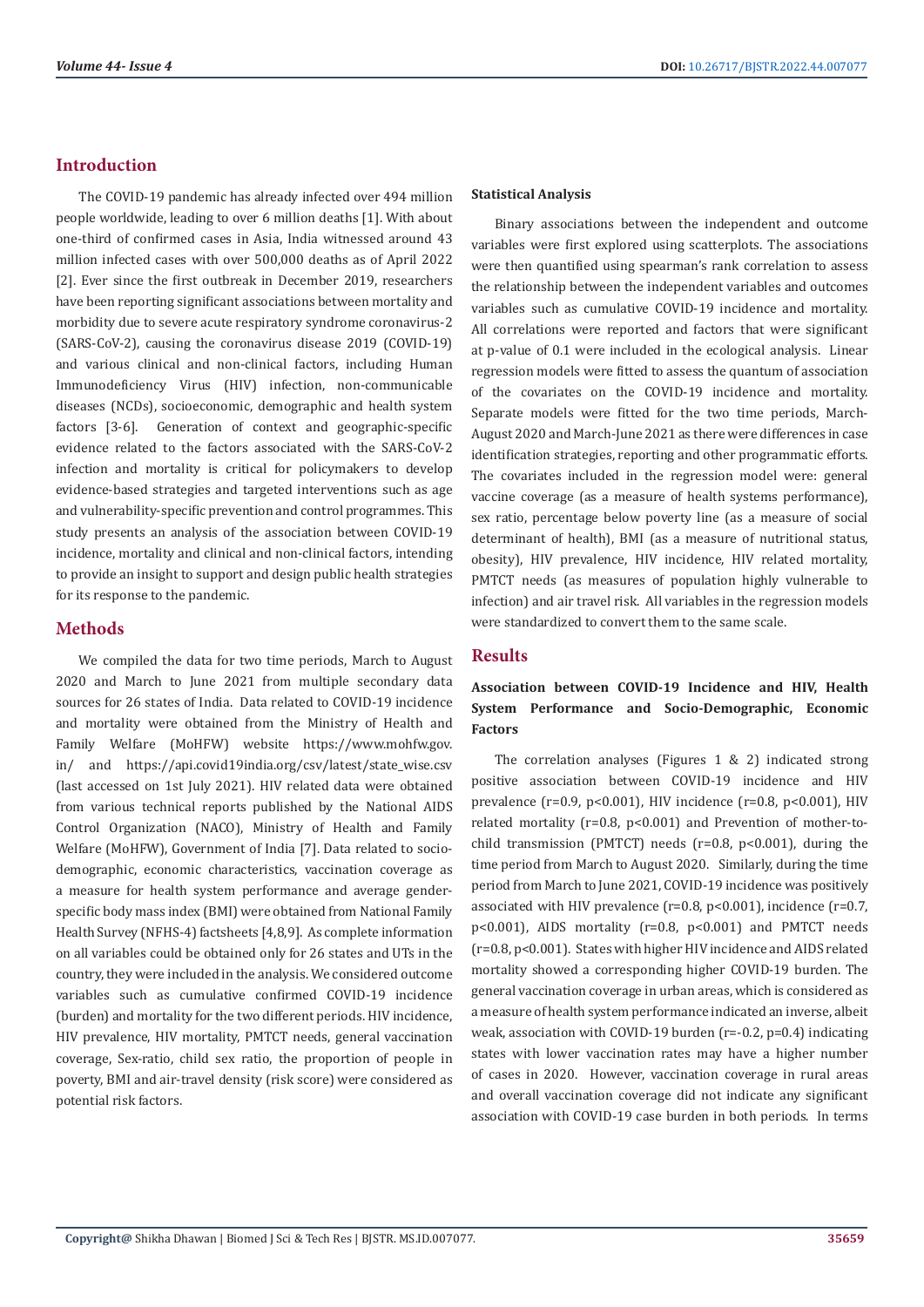# **Introduction**

The COVID-19 pandemic has already infected over 494 million people worldwide, leading to over 6 million deaths [1]. With about one-third of confirmed cases in Asia, India witnessed around 43 million infected cases with over 500,000 deaths as of April 2022 [2]. Ever since the first outbreak in December 2019, researchers have been reporting significant associations between mortality and morbidity due to severe acute respiratory syndrome coronavirus-2 (SARS-CoV-2), causing the coronavirus disease 2019 (COVID-19) and various clinical and non-clinical factors, including Human Immunodeficiency Virus (HIV) infection, non-communicable diseases (NCDs), socioeconomic, demographic and health system factors [3-6]. Generation of context and geographic-specific evidence related to the factors associated with the SARS-CoV-2 infection and mortality is critical for policymakers to develop evidence-based strategies and targeted interventions such as age and vulnerability-specific prevention and control programmes. This study presents an analysis of the association between COVID-19 incidence, mortality and clinical and non-clinical factors, intending to provide an insight to support and design public health strategies for its response to the pandemic.

# **Methods**

We compiled the data for two time periods, March to August 2020 and March to June 2021 from multiple secondary data sources for 26 states of India. Data related to COVID-19 incidence and mortality were obtained from the Ministry of Health and Family Welfare (MoHFW) website https://www.mohfw.gov. in/ and https://api.covid19india.org/csv/latest/state\_wise.csv (last accessed on 1st July 2021). HIV related data were obtained from various technical reports published by the National AIDS Control Organization (NACO), Ministry of Health and Family Welfare (MoHFW), Government of India [7]. Data related to sociodemographic, economic characteristics, vaccination coverage as a measure for health system performance and average genderspecific body mass index (BMI) were obtained from National Family Health Survey (NFHS-4) factsheets [4,8,9]. As complete information on all variables could be obtained only for 26 states and UTs in the country, they were included in the analysis. We considered outcome variables such as cumulative confirmed COVID-19 incidence (burden) and mortality for the two different periods. HIV incidence, HIV prevalence, HIV mortality, PMTCT needs, general vaccination coverage, Sex-ratio, child sex ratio, the proportion of people in poverty, BMI and air-travel density (risk score) were considered as potential risk factors.

#### **Statistical Analysis**

Binary associations between the independent and outcome variables were first explored using scatterplots. The associations were then quantified using spearman's rank correlation to assess the relationship between the independent variables and outcomes variables such as cumulative COVID-19 incidence and mortality. All correlations were reported and factors that were significant at p-value of 0.1 were included in the ecological analysis. Linear regression models were fitted to assess the quantum of association of the covariates on the COVID-19 incidence and mortality. Separate models were fitted for the two time periods, March-August 2020 and March-June 2021 as there were differences in case identification strategies, reporting and other programmatic efforts. The covariates included in the regression model were: general vaccine coverage (as a measure of health systems performance), sex ratio, percentage below poverty line (as a measure of social determinant of health), BMI (as a measure of nutritional status, obesity), HIV prevalence, HIV incidence, HIV related mortality, PMTCT needs (as measures of population highly vulnerable to infection) and air travel risk. All variables in the regression models were standardized to convert them to the same scale.

#### **Results**

# **Association between COVID-19 Incidence and HIV, Health System Performance and Socio-Demographic, Economic Factors**

The correlation analyses (Figures 1 & 2) indicated strong positive association between COVID-19 incidence and HIV prevalence ( $r=0.9$ ,  $p<0.001$ ), HIV incidence ( $r=0.8$ ,  $p<0.001$ ), HIV related mortality (r=0.8, p<0.001) and Prevention of mother-tochild transmission (PMTCT) needs ( $r=0.8$ ,  $p<0.001$ ), during the time period from March to August 2020. Similarly, during the time period from March to June 2021, COVID-19 incidence was positively associated with HIV prevalence (r=0.8, p<0.001), incidence (r=0.7, p<0.001), AIDS mortality (r=0.8, p<0.001) and PMTCT needs (r=0.8, p<0.001). States with higher HIV incidence and AIDS related mortality showed a corresponding higher COVID-19 burden. The general vaccination coverage in urban areas, which is considered as a measure of health system performance indicated an inverse, albeit weak, association with COVID-19 burden (r=-0.2, p=0.4) indicating states with lower vaccination rates may have a higher number of cases in 2020. However, vaccination coverage in rural areas and overall vaccination coverage did not indicate any significant association with COVID-19 case burden in both periods. In terms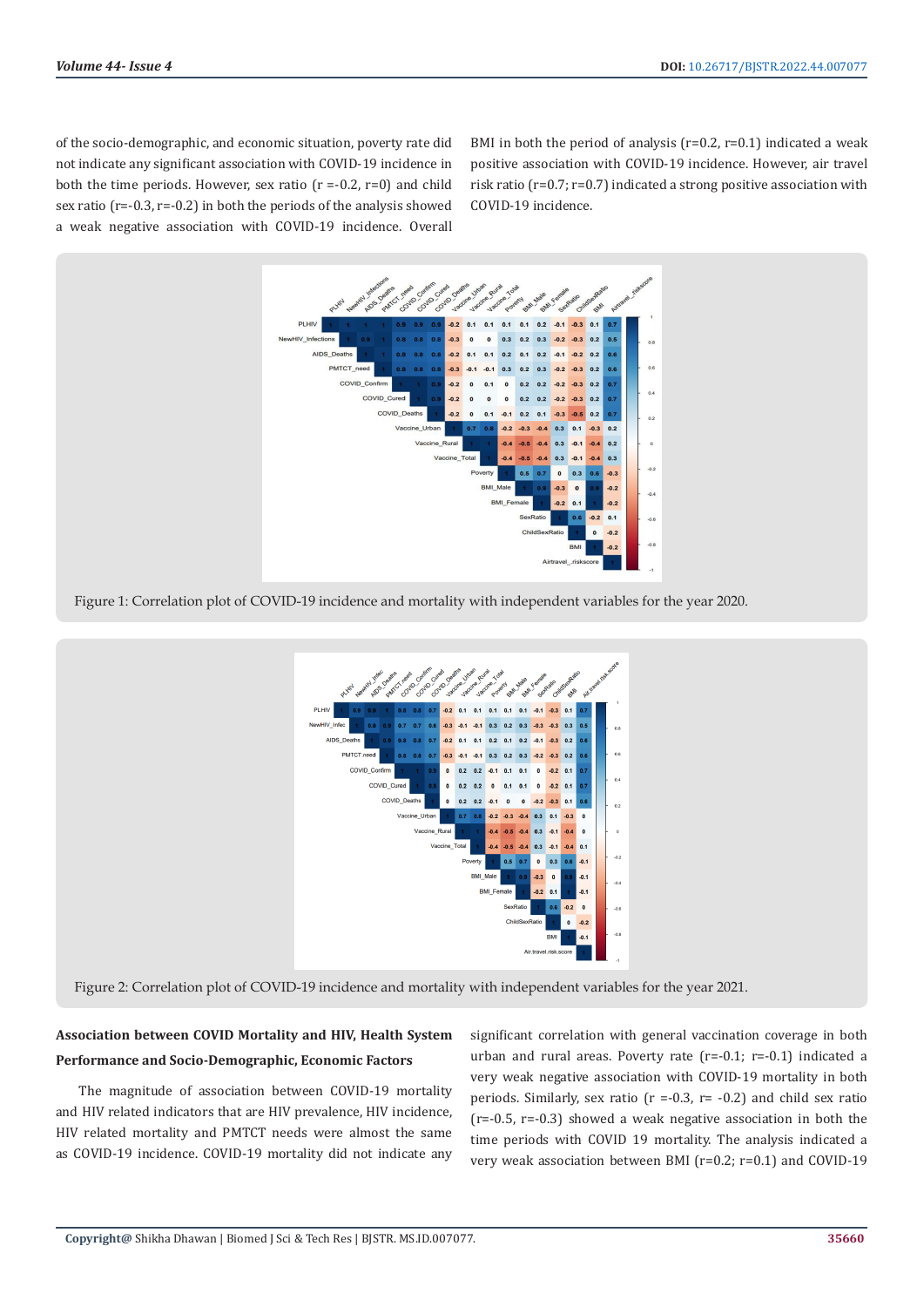of the socio-demographic, and economic situation, poverty rate did not indicate any significant association with COVID-19 incidence in both the time periods. However, sex ratio  $(r = -0.2, r=0)$  and child sex ratio (r=-0.3, r=-0.2) in both the periods of the analysis showed a weak negative association with COVID-19 incidence. Overall

BMI in both the period of analysis ( $r=0.2$ ,  $r=0.1$ ) indicated a weak positive association with COVID-19 incidence. However, air travel risk ratio (r=0.7; r=0.7) indicated a strong positive association with COVID-19 incidence.



Figure 1: Correlation plot of COVID-19 incidence and mortality with independent variables for the year 2020.



Figure 2: Correlation plot of COVID-19 incidence and mortality with independent variables for the year 2021.

# **Association between COVID Mortality and HIV, Health System Performance and Socio-Demographic, Economic Factors**

The magnitude of association between COVID-19 mortality and HIV related indicators that are HIV prevalence, HIV incidence, HIV related mortality and PMTCT needs were almost the same as COVID-19 incidence. COVID-19 mortality did not indicate any

significant correlation with general vaccination coverage in both urban and rural areas. Poverty rate (r=-0.1; r=-0.1) indicated a very weak negative association with COVID-19 mortality in both periods. Similarly, sex ratio ( $r = -0.3$ ,  $r = -0.2$ ) and child sex ratio  $(r=-0.5, r=-0.3)$  showed a weak negative association in both the time periods with COVID 19 mortality. The analysis indicated a very weak association between BMI (r=0.2; r=0.1) and COVID-19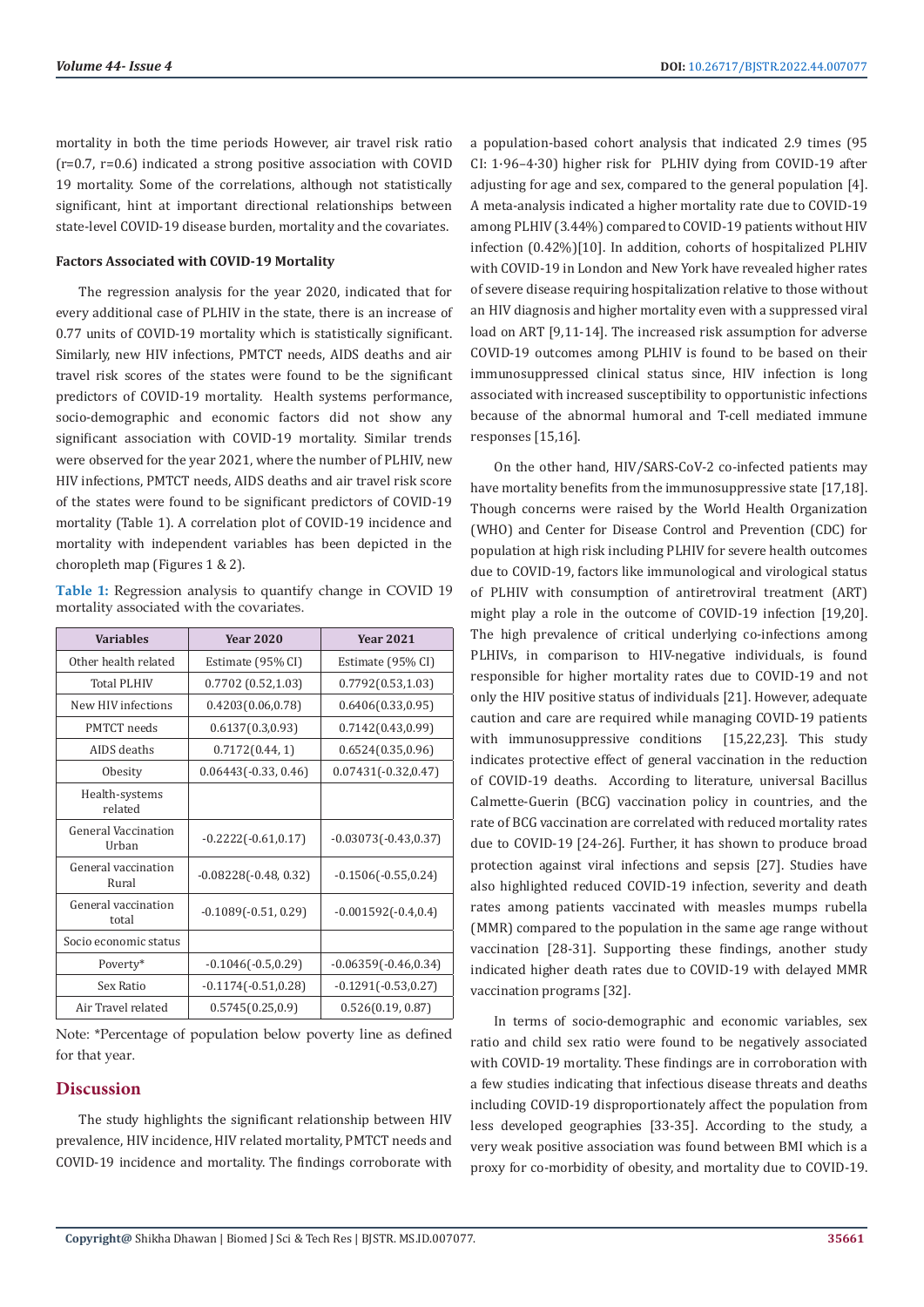mortality in both the time periods However, air travel risk ratio (r=0.7, r=0.6) indicated a strong positive association with COVID 19 mortality. Some of the correlations, although not statistically significant, hint at important directional relationships between state-level COVID-19 disease burden, mortality and the covariates.

### **Factors Associated with COVID-19 Mortality**

The regression analysis for the year 2020, indicated that for every additional case of PLHIV in the state, there is an increase of 0.77 units of COVID-19 mortality which is statistically significant. Similarly, new HIV infections, PMTCT needs, AIDS deaths and air travel risk scores of the states were found to be the significant predictors of COVID-19 mortality. Health systems performance, socio-demographic and economic factors did not show any significant association with COVID-19 mortality. Similar trends were observed for the year 2021, where the number of PLHIV, new HIV infections, PMTCT needs, AIDS deaths and air travel risk score of the states were found to be significant predictors of COVID-19 mortality (Table 1). A correlation plot of COVID-19 incidence and mortality with independent variables has been depicted in the choropleth map (Figures 1 & 2).

**Table 1:** Regression analysis to quantify change in COVID 19 mortality associated with the covariates.

| <b>Variables</b>             | <b>Year 2020</b>        | <b>Year 2021</b>        |
|------------------------------|-------------------------|-------------------------|
| Other health related         | Estimate (95% CI)       | Estimate (95% CI)       |
| <b>Total PLHIV</b>           | 0.7702(0.52,1.03)       | 0.7792(0.53, 1.03)      |
| New HIV infections           | 0.4203(0.06, 0.78)      | 0.6406(0.33, 0.95)      |
| <b>PMTCT</b> needs           | 0.6137(0.3, 0.93)       | 0.7142(0.43, 0.99)      |
| AIDS deaths                  | 0.7172(0.44, 1)         | 0.6524(0.35, 0.96)      |
| Obesity                      | $0.06443(-0.33, 0.46)$  | $0.07431(-0.32,0.47)$   |
| Health-systems<br>related    |                         |                         |
| General Vaccination<br>Urban | $-0.2222(-0.61, 0.17)$  | $-0.03073(-0.43,0.37)$  |
| General vaccination<br>Rural | $-0.08228(-0.48, 0.32)$ | $-0.1506(-0.55, 0.24)$  |
| General vaccination<br>total | $-0.1089(-0.51, 0.29)$  | $-0.001592(-0.4,0.4)$   |
| Socio economic status        |                         |                         |
| Poverty*                     | $-0.1046(-0.5, 0.29)$   | $-0.06359(-0.46, 0.34)$ |
| Sex Ratio                    | $-0.1174(-0.51, 0.28)$  | $-0.1291(-0.53, 0.27)$  |
| Air Travel related           | 0.5745(0.25, 0.9)       | 0.526(0.19, 0.87)       |

Note: \*Percentage of population below poverty line as defined for that year.

#### **Discussion**

The study highlights the significant relationship between HIV prevalence, HIV incidence, HIV related mortality, PMTCT needs and COVID-19 incidence and mortality. The findings corroborate with a population-based cohort analysis that indicated 2.9 times (95 CI: 1·96–4·30) higher risk for PLHIV dying from COVID-19 after adjusting for age and sex, compared to the general population [4]. A meta-analysis indicated a higher mortality rate due to COVID-19 among PLHIV (3.44%) compared to COVID-19 patients without HIV infection (0.42%)[10]. In addition, cohorts of hospitalized PLHIV with COVID-19 in London and New York have revealed higher rates of severe disease requiring hospitalization relative to those without an HIV diagnosis and higher mortality even with a suppressed viral load on ART [9,11-14]. The increased risk assumption for adverse COVID-19 outcomes among PLHIV is found to be based on their immunosuppressed clinical status since, HIV infection is long associated with increased susceptibility to opportunistic infections because of the abnormal humoral and T-cell mediated immune responses [15,16].

On the other hand, HIV/SARS-CoV-2 co-infected patients may have mortality benefits from the immunosuppressive state [17,18]. Though concerns were raised by the World Health Organization (WHO) and Center for Disease Control and Prevention (CDC) for population at high risk including PLHIV for severe health outcomes due to COVID-19, factors like immunological and virological status of PLHIV with consumption of antiretroviral treatment (ART) might play a role in the outcome of COVID-19 infection [19,20]. The high prevalence of critical underlying co-infections among PLHIVs, in comparison to HIV-negative individuals, is found responsible for higher mortality rates due to COVID-19 and not only the HIV positive status of individuals [21]. However, adequate caution and care are required while managing COVID-19 patients with immunosuppressive conditions [15,22,23]. This study indicates protective effect of general vaccination in the reduction of COVID-19 deaths. According to literature, universal Bacillus Calmette-Guerin (BCG) vaccination policy in countries, and the rate of BCG vaccination are correlated with reduced mortality rates due to COVID-19 [24-26]. Further, it has shown to produce broad protection against viral infections and sepsis [27]. Studies have also highlighted reduced COVID-19 infection, severity and death rates among patients vaccinated with measles mumps rubella (MMR) compared to the population in the same age range without vaccination [28-31]. Supporting these findings, another study indicated higher death rates due to COVID-19 with delayed MMR vaccination programs [32].

In terms of socio-demographic and economic variables, sex ratio and child sex ratio were found to be negatively associated with COVID-19 mortality. These findings are in corroboration with a few studies indicating that infectious disease threats and deaths including COVID-19 disproportionately affect the population from less developed geographies [33-35]. According to the study, a very weak positive association was found between BMI which is a proxy for co-morbidity of obesity, and mortality due to COVID-19.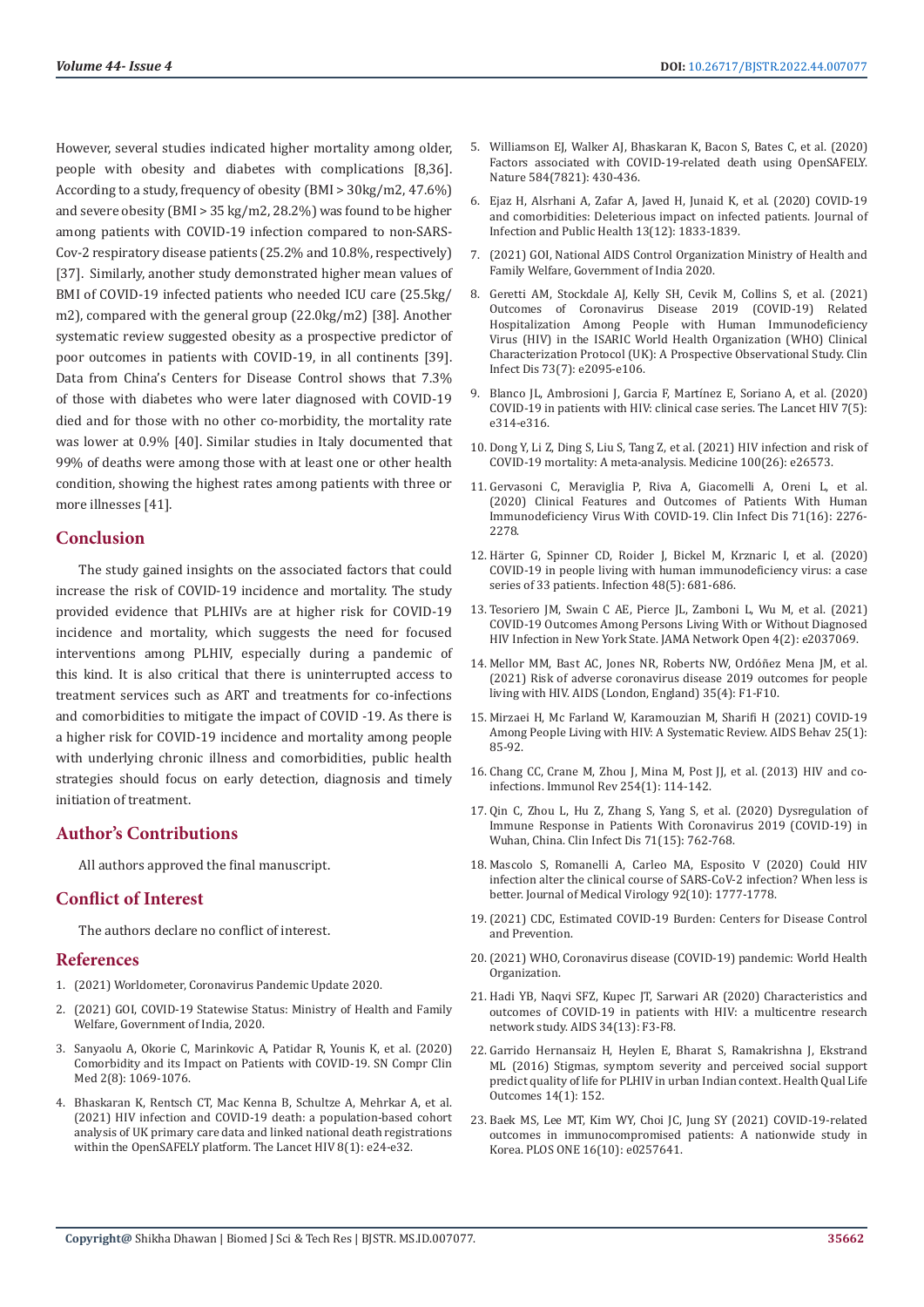However, several studies indicated higher mortality among older, people with obesity and diabetes with complications [8,36]. According to a study, frequency of obesity (BMI > 30kg/m2, 47.6%) and severe obesity (BMI > 35 kg/m2, 28.2%) was found to be higher among patients with COVID-19 infection compared to non-SARS-Cov-2 respiratory disease patients (25.2% and 10.8%, respectively) [37]. Similarly, another study demonstrated higher mean values of BMI of COVID-19 infected patients who needed ICU care (25.5kg/ m2), compared with the general group (22.0kg/m2) [38]. Another systematic review suggested obesity as a prospective predictor of poor outcomes in patients with COVID-19, in all continents [39]. Data from China's Centers for Disease Control shows that 7.3% of those with diabetes who were later diagnosed with COVID-19 died and for those with no other co-morbidity, the mortality rate was lower at 0.9% [40]. Similar studies in Italy documented that 99% of deaths were among those with at least one or other health condition, showing the highest rates among patients with three or more illnesses [41].

### **Conclusion**

The study gained insights on the associated factors that could increase the risk of COVID-19 incidence and mortality. The study provided evidence that PLHIVs are at higher risk for COVID-19 incidence and mortality, which suggests the need for focused interventions among PLHIV, especially during a pandemic of this kind. It is also critical that there is uninterrupted access to treatment services such as ART and treatments for co-infections and comorbidities to mitigate the impact of COVID -19. As there is a higher risk for COVID-19 incidence and mortality among people with underlying chronic illness and comorbidities, public health strategies should focus on early detection, diagnosis and timely initiation of treatment.

# **Author's Contributions**

All authors approved the final manuscript.

#### **Conflict of Interest**

The authors declare no conflict of interest.

#### **References**

- 1. [\(2021\) Worldometer, Coronavirus Pandemic Update 2020.](https://www.worldometers.info/coronavirus/)
- (2021) GOI, COVID-19 Statewise Status: Ministry of Health and Family [Welfare, Government of India, 2020.](https://www.mohfw.gov.in/)
- 3. [Sanyaolu A, Okorie C, Marinkovic A, Patidar R, Younis K, et al. \(2020\)](https://pubmed.ncbi.nlm.nih.gov/32838147/)  [Comorbidity and its Impact on Patients with COVID-19. SN Compr Clin](https://pubmed.ncbi.nlm.nih.gov/32838147/)  [Med 2\(8\): 1069-1076.](https://pubmed.ncbi.nlm.nih.gov/32838147/)
- 4. [Bhaskaran K, Rentsch CT, Mac Kenna B, Schultze A, Mehrkar A, et al.](https://pubmed.ncbi.nlm.nih.gov/33316211/)  [\(2021\) HIV infection and COVID-19 death: a population-based cohort](https://pubmed.ncbi.nlm.nih.gov/33316211/)  [analysis of UK primary care data and linked national death registrations](https://pubmed.ncbi.nlm.nih.gov/33316211/)  [within the OpenSAFELY platform. The Lancet HIV 8\(1\): e24-e32.](https://pubmed.ncbi.nlm.nih.gov/33316211/)
- 5. [Williamson EJ, Walker AJ, Bhaskaran K, Bacon S, Bates C, et al. \(2020\)](https://pubmed.ncbi.nlm.nih.gov/32640463/) [Factors associated with COVID-19-related death using OpenSAFELY.](https://pubmed.ncbi.nlm.nih.gov/32640463/) [Nature 584\(7821\): 430-436.](https://pubmed.ncbi.nlm.nih.gov/32640463/)
- 6. [Ejaz H, Alsrhani A, Zafar A, Javed H, Junaid K, et al.](file:///D:/Ramya%20mercy/Biomed%20PDFs/Pending/BJSTR.MS.ID.007077/BJSTR-GAS-22-RA-183_W/BJSTR-GAS-22-RA-183_W/1.%09https:/doi.org/10.1016/j.jiph.2020.07.014.) (2020) COVID-19 [and comorbidities: Deleterious impact on infected patients. Journal of](file:///D:/Ramya%20mercy/Biomed%20PDFs/Pending/BJSTR.MS.ID.007077/BJSTR-GAS-22-RA-183_W/BJSTR-GAS-22-RA-183_W/1.%09https:/doi.org/10.1016/j.jiph.2020.07.014.) [Infection and Public Health 13\(12\): 1833-1839.](file:///D:/Ramya%20mercy/Biomed%20PDFs/Pending/BJSTR.MS.ID.007077/BJSTR-GAS-22-RA-183_W/BJSTR-GAS-22-RA-183_W/1.%09https:/doi.org/10.1016/j.jiph.2020.07.014.)
- 7. [\(2021\) GOI, National AIDS Control Organization Ministry of Health and](http://naco.gov.in/) [Family Welfare, Government of India 2020.](http://naco.gov.in/)
- 8. [Geretti AM, Stockdale AJ, Kelly SH, Cevik M, Collins S, et al. \(2021\)](https://pubmed.ncbi.nlm.nih.gov/33095853/) [Outcomes of Coronavirus Disease 2019 \(COVID-19\) Related](https://pubmed.ncbi.nlm.nih.gov/33095853/) [Hospitalization Among People with Human Immunodeficiency](https://pubmed.ncbi.nlm.nih.gov/33095853/) [Virus \(HIV\) in the ISARIC World Health Organization \(WHO\) Clinical](https://pubmed.ncbi.nlm.nih.gov/33095853/) [Characterization Protocol \(UK\): A Prospective Observational Study. Clin](https://pubmed.ncbi.nlm.nih.gov/33095853/) [Infect Dis 73\(7\): e2095-e106.](https://pubmed.ncbi.nlm.nih.gov/33095853/)
- 9. [Blanco JL, Ambrosioni J, Garcia F, Martí](https://pubmed.ncbi.nlm.nih.gov/32304642/)nez E, Soriano A, et al. (2020) [COVID-19 in patients with HIV: clinical case series. The Lancet HIV 7\(5\):](https://pubmed.ncbi.nlm.nih.gov/32304642/) [e314-e316.](https://pubmed.ncbi.nlm.nih.gov/32304642/)
- 10. [Dong Y, Li Z, Ding S, Liu S, Tang Z, et al. \(2021\) HIV infection and risk of](https://pubmed.ncbi.nlm.nih.gov/34190201/) [COVID-19 mortality: A meta-analysis. Medicine 100\(26\): e26573.](https://pubmed.ncbi.nlm.nih.gov/34190201/)
- 11. [Gervasoni C, Meraviglia P, Riva A, Giacomelli A, Oreni L, et al.](https://pubmed.ncbi.nlm.nih.gov/32407467/) [\(2020\) Clinical Features and Outcomes of Patients With Human](https://pubmed.ncbi.nlm.nih.gov/32407467/) [Immunodeficiency Virus With COVID-19. Clin Infect Dis 71\(16\): 2276-](https://pubmed.ncbi.nlm.nih.gov/32407467/) [2278.](https://pubmed.ncbi.nlm.nih.gov/32407467/)
- 12. Hä[rter G, Spinner CD, Roider J, Bickel M, Krznaric I, et al. \(2020\)](https://pubmed.ncbi.nlm.nih.gov/32394344/) [COVID-19 in people living with human immunodeficiency virus: a case](https://pubmed.ncbi.nlm.nih.gov/32394344/) [series of 33 patients. Infection 48\(5\): 681-686.](https://pubmed.ncbi.nlm.nih.gov/32394344/)
- 13. [Tesoriero JM, Swain C AE, Pierce JL, Zamboni L, Wu M, et al. \(2021\)](https://pubmed.ncbi.nlm.nih.gov/33533933/) [COVID-19 Outcomes Among Persons Living With or Without Diagnosed](https://pubmed.ncbi.nlm.nih.gov/33533933/) [HIV Infection in New York State. JAMA Network Open 4\(2\): e2037069.](https://pubmed.ncbi.nlm.nih.gov/33533933/)
- 14. [Mellor MM, Bast AC, Jones NR, Roberts NW, Ord](https://pubmed.ncbi.nlm.nih.gov/33587448/)óñez Mena JM, et al. [\(2021\) Risk of adverse coronavirus disease 2019 outcomes for people](https://pubmed.ncbi.nlm.nih.gov/33587448/) [living with HIV. AIDS \(London, England\) 35\(4\): F1-F10.](https://pubmed.ncbi.nlm.nih.gov/33587448/)
- 15. [Mirzaei H, Mc Farland W, Karamouzian M, Sharifi H \(2021\) COVID-19](https://pubmed.ncbi.nlm.nih.gov/32734438/) [Among People Living with HIV: A Systematic Review. AIDS Behav 25\(1\):](https://pubmed.ncbi.nlm.nih.gov/32734438/) [85-92.](https://pubmed.ncbi.nlm.nih.gov/32734438/)
- 16. [Chang CC, Crane M, Zhou J, Mina M, Post JJ, et al. \(2013\) HIV and co](https://pubmed.ncbi.nlm.nih.gov/23772618/)[infections. Immunol Rev 254\(1\): 114-142.](https://pubmed.ncbi.nlm.nih.gov/23772618/)
- 17. [Qin C, Zhou L, Hu Z, Zhang S, Yang S, et al. \(2020\) Dysregulation of](https://pubmed.ncbi.nlm.nih.gov/32161940/) [Immune Response in Patients With Coronavirus 2019 \(COVID-19\) in](https://pubmed.ncbi.nlm.nih.gov/32161940/) [Wuhan, China. Clin Infect Dis 71\(15\): 762-768.](https://pubmed.ncbi.nlm.nih.gov/32161940/)
- 18. [Mascolo S, Romanelli A, Carleo MA, Esposito V \(2020\) Could HIV](https://pubmed.ncbi.nlm.nih.gov/32293709/) [infection alter the clinical course of SARS-CoV-2 infection? When less is](https://pubmed.ncbi.nlm.nih.gov/32293709/) [better. Journal of Medical Virology 92\(10\): 1777-1778.](https://pubmed.ncbi.nlm.nih.gov/32293709/)
- 19.[\(2021\) CDC, Estimated COVID-19 Burden: Centers for Disease Control](https://www.cdc.gov/coronavirus/2019-ncov/cases-updates/burden.html) [and Prevention.](https://www.cdc.gov/coronavirus/2019-ncov/cases-updates/burden.html)
- 20.[\(2021\) WHO, Coronavirus disease \(COVID-19\) pandemic: World Health](https://www.who.int/emergencies/diseases/novel-coronavirus-2019) [Organization.](https://www.who.int/emergencies/diseases/novel-coronavirus-2019)
- 21. [Hadi YB, Naqvi SFZ, Kupec JT, Sarwari AR \(2020\) Characteristics and](https://pubmed.ncbi.nlm.nih.gov/32796217/) [outcomes of COVID-19 in patients with HIV: a multicentre research](https://pubmed.ncbi.nlm.nih.gov/32796217/) [network study. AIDS 34\(13\): F3-F8.](https://pubmed.ncbi.nlm.nih.gov/32796217/)
- 22. [Garrido Hernansaiz H, Heylen E, Bharat S, Ramakrishna J, Ekstrand](https://pubmed.ncbi.nlm.nih.gov/27809839/) [ML \(2016\) Stigmas, symptom severity and perceived social support](https://pubmed.ncbi.nlm.nih.gov/27809839/) [predict quality of life for PLHIV in urban Indian context. Health Qual Life](https://pubmed.ncbi.nlm.nih.gov/27809839/) [Outcomes 14\(1\): 152.](https://pubmed.ncbi.nlm.nih.gov/27809839/)
- 23. [Baek MS, Lee MT, Kim WY, Choi JC, Jung SY \(2021\) COVID-19-related](https://journals.plos.org/plosone/article?id=10.1371/journal.pone.0257641) [outcomes in immunocompromised patients: A nationwide study in](https://journals.plos.org/plosone/article?id=10.1371/journal.pone.0257641) [Korea. PLOS ONE 16\(10\): e0257641.](https://journals.plos.org/plosone/article?id=10.1371/journal.pone.0257641)